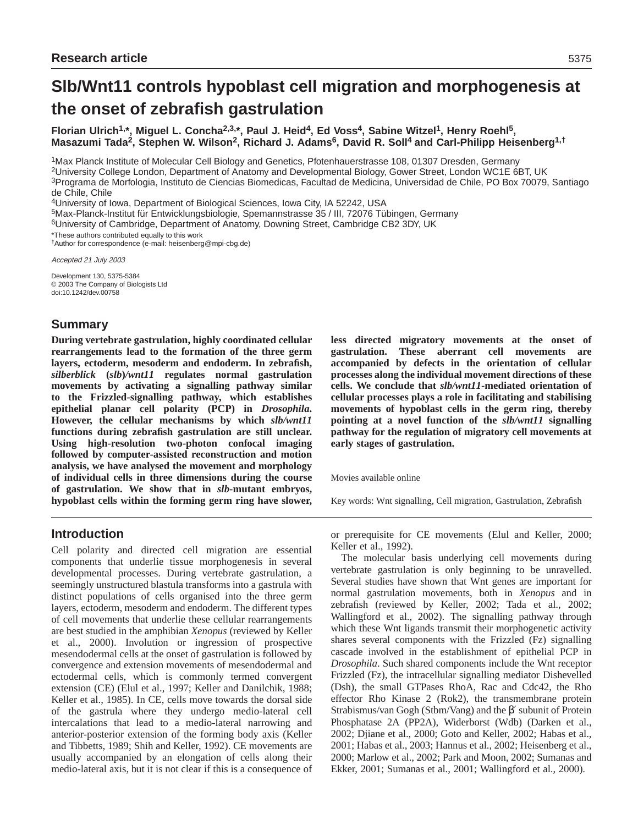# **Slb/Wnt11 controls hypoblast cell migration and morphogenesis at the onset of zebrafish gastrulation**

**Florian Ulrich1,\*, Miguel L. Concha2,3,\*, Paul J. Heid4, Ed Voss4, Sabine Witzel1, Henry Roehl5,** Masazumi Tada<sup>2</sup>, Stephen W. Wilson<sup>2</sup>, Richard J. Adams<sup>6</sup>, David R. Soll<sup>4</sup> and Carl-Philipp Heisenberg<sup>1,†</sup>

1Max Planck Institute of Molecular Cell Biology and Genetics, Pfotenhauerstrasse 108, 01307 Dresden, Germany

2University College London, Department of Anatomy and Developmental Biology, Gower Street, London WC1E 6BT, UK

3Programa de Morfologia, Instituto de Ciencias Biomedicas, Facultad de Medicina, Universidad de Chile, PO Box 70079, Santiago de Chile, Chile

4University of Iowa, Department of Biological Sciences, Iowa City, IA 52242, USA

5Max-Planck-Institut für Entwicklungsbiologie, Spemannstrasse 35 / III, 72076 Tübingen, Germany

6University of Cambridge, Department of Anatomy, Downing Street, Cambridge CB2 3DY, UK

\*These authors contributed equally to this work

†Author for correspondence (e-mail: heisenberg@mpi-cbg.de)

Accepted 21 July 2003

Development 130, 5375-5384 © 2003 The Company of Biologists Ltd doi:10.1242/dev.00758

# **Summary**

**During vertebrate gastrulation, highly coordinated cellular rearrangements lead to the formation of the three germ layers, ectoderm, mesoderm and endoderm. In zebrafish,** *silberblick* **(***slb***)***/wnt11* **regulates normal gastrulation movements by activating a signalling pathway similar to the Frizzled-signalling pathway, which establishes epithelial planar cell polarity (PCP) in** *Drosophila***. However, the cellular mechanisms by which** *slb/wnt11* **functions during zebrafish gastrulation are still unclear. Using high-resolution two-photon confocal imaging followed by computer-assisted reconstruction and motion analysis, we have analysed the movement and morphology of individual cells in three dimensions during the course of gastrulation. We show that in** *slb***-mutant embryos, hypoblast cells within the forming germ ring have slower,** **less directed migratory movements at the onset of gastrulation. These aberrant cell movements are accompanied by defects in the orientation of cellular processes along the individual movement directions of these cells. We conclude that** *slb/wnt11***-mediated orientation of cellular processes plays a role in facilitating and stabilising movements of hypoblast cells in the germ ring, thereby pointing at a novel function of the** *slb/wnt11* **signalling pathway for the regulation of migratory cell movements at early stages of gastrulation.**

Movies available online

Key words: Wnt signalling, Cell migration, Gastrulation, Zebrafish

# **Introduction**

Cell polarity and directed cell migration are essential components that underlie tissue morphogenesis in several developmental processes. During vertebrate gastrulation, a seemingly unstructured blastula transforms into a gastrula with distinct populations of cells organised into the three germ layers, ectoderm, mesoderm and endoderm. The different types of cell movements that underlie these cellular rearrangements are best studied in the amphibian *Xenopus* (reviewed by Keller et al., 2000). Involution or ingression of prospective mesendodermal cells at the onset of gastrulation is followed by convergence and extension movements of mesendodermal and ectodermal cells, which is commonly termed convergent extension (CE) (Elul et al., 1997; Keller and Danilchik, 1988; Keller et al., 1985). In CE, cells move towards the dorsal side of the gastrula where they undergo medio-lateral cell intercalations that lead to a medio-lateral narrowing and anterior-posterior extension of the forming body axis (Keller and Tibbetts, 1989; Shih and Keller, 1992). CE movements are usually accompanied by an elongation of cells along their medio-lateral axis, but it is not clear if this is a consequence of or prerequisite for CE movements (Elul and Keller, 2000; Keller et al., 1992).

The molecular basis underlying cell movements during vertebrate gastrulation is only beginning to be unravelled. Several studies have shown that Wnt genes are important for normal gastrulation movements, both in *Xenopus* and in zebrafish (reviewed by Keller, 2002; Tada et al., 2002; Wallingford et al., 2002). The signalling pathway through which these Wnt ligands transmit their morphogenetic activity shares several components with the Frizzled (Fz) signalling cascade involved in the establishment of epithelial PCP in *Drosophila*. Such shared components include the Wnt receptor Frizzled (Fz), the intracellular signalling mediator Dishevelled (Dsh), the small GTPases RhoA, Rac and Cdc42, the Rho effector Rho Kinase 2 (Rok2), the transmembrane protein Strabismus/van Gogh (Stbm/Vang) and the β′ subunit of Protein Phosphatase 2A (PP2A), Widerborst (Wdb) (Darken et al., 2002; Djiane et al., 2000; Goto and Keller, 2002; Habas et al., 2001; Habas et al., 2003; Hannus et al., 2002; Heisenberg et al., 2000; Marlow et al., 2002; Park and Moon, 2002; Sumanas and Ekker, 2001; Sumanas et al., 2001; Wallingford et al., 2000).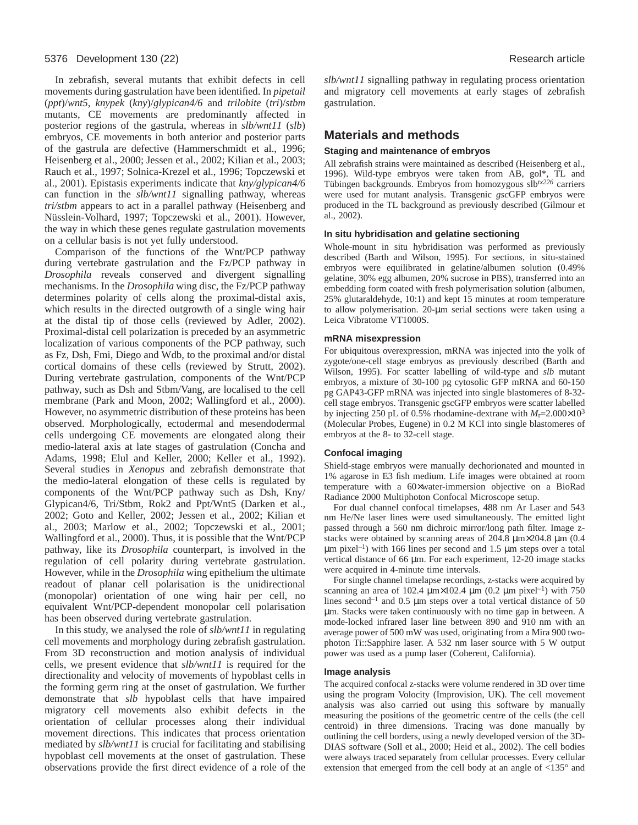In zebrafish, several mutants that exhibit defects in cell movements during gastrulation have been identified. In *pipetail* (*ppt*)/*wnt5*, *knypek* (*kny*)/*glypican4/6* and *trilobite* (*tri*)/*stbm* mutants, CE movements are predominantly affected in posterior regions of the gastrula, whereas in *slb/wnt11* (*slb*) embryos, CE movements in both anterior and posterior parts of the gastrula are defective (Hammerschmidt et al., 1996; Heisenberg et al., 2000; Jessen et al., 2002; Kilian et al., 2003; Rauch et al., 1997; Solnica-Krezel et al., 1996; Topczewski et al., 2001). Epistasis experiments indicate that *kny/glypican4/6* can function in the *slb/wnt11* signalling pathway, whereas *tri/stbm* appears to act in a parallel pathway (Heisenberg and Nüsslein-Volhard, 1997; Topczewski et al., 2001). However, the way in which these genes regulate gastrulation movements on a cellular basis is not yet fully understood.

Comparison of the functions of the Wnt/PCP pathway during vertebrate gastrulation and the Fz/PCP pathway in *Drosophila* reveals conserved and divergent signalling mechanisms. In the *Drosophila* wing disc, the Fz/PCP pathway determines polarity of cells along the proximal-distal axis, which results in the directed outgrowth of a single wing hair at the distal tip of those cells (reviewed by Adler, 2002). Proximal-distal cell polarization is preceded by an asymmetric localization of various components of the PCP pathway, such as Fz, Dsh, Fmi, Diego and Wdb, to the proximal and/or distal cortical domains of these cells (reviewed by Strutt, 2002). During vertebrate gastrulation, components of the Wnt/PCP pathway, such as Dsh and Stbm/Vang, are localised to the cell membrane (Park and Moon, 2002; Wallingford et al., 2000). However, no asymmetric distribution of these proteins has been observed. Morphologically, ectodermal and mesendodermal cells undergoing CE movements are elongated along their medio-lateral axis at late stages of gastrulation (Concha and Adams, 1998; Elul and Keller, 2000; Keller et al., 1992). Several studies in *Xenopus* and zebrafish demonstrate that the medio-lateral elongation of these cells is regulated by components of the Wnt/PCP pathway such as Dsh, Kny/ Glypican4/6, Tri/Stbm, Rok2 and Ppt/Wnt5 (Darken et al., 2002; Goto and Keller, 2002; Jessen et al., 2002; Kilian et al., 2003; Marlow et al., 2002; Topczewski et al., 2001; Wallingford et al., 2000). Thus, it is possible that the Wnt/PCP pathway, like its *Drosophila* counterpart, is involved in the regulation of cell polarity during vertebrate gastrulation. However, while in the *Drosophila* wing epithelium the ultimate readout of planar cell polarisation is the unidirectional (monopolar) orientation of one wing hair per cell, no equivalent Wnt/PCP-dependent monopolar cell polarisation has been observed during vertebrate gastrulation.

In this study, we analysed the role of *slb/wnt11* in regulating cell movements and morphology during zebrafish gastrulation. From 3D reconstruction and motion analysis of individual cells, we present evidence that *slb/wnt11* is required for the directionality and velocity of movements of hypoblast cells in the forming germ ring at the onset of gastrulation. We further demonstrate that *slb* hypoblast cells that have impaired migratory cell movements also exhibit defects in the orientation of cellular processes along their individual movement directions. This indicates that process orientation mediated by *slb/wnt11* is crucial for facilitating and stabilising hypoblast cell movements at the onset of gastrulation. These observations provide the first direct evidence of a role of the

*slb/wnt11* signalling pathway in regulating process orientation and migratory cell movements at early stages of zebrafish gastrulation.

## **Materials and methods**

#### **Staging and maintenance of embryos**

All zebrafish strains were maintained as described (Heisenberg et al., 1996). Wild-type embryos were taken from AB, gol\*, TL and Tübingen backgrounds. Embryos from homozygous slb*tx226* carriers were used for mutant analysis. Transgenic *gsc*GFP embryos were produced in the TL background as previously described (Gilmour et al., 2002).

#### **In situ hybridisation and gelatine sectioning**

Whole-mount in situ hybridisation was performed as previously described (Barth and Wilson, 1995). For sections, in situ-stained embryos were equilibrated in gelatine/albumen solution (0.49% gelatine, 30% egg albumen, 20% sucrose in PBS), transferred into an embedding form coated with fresh polymerisation solution (albumen, 25% glutaraldehyde, 10:1) and kept 15 minutes at room temperature to allow polymerisation. 20-µm serial sections were taken using a Leica Vibratome VT1000S.

#### **mRNA misexpression**

For ubiquitous overexpression, mRNA was injected into the yolk of zygote/one-cell stage embryos as previously described (Barth and Wilson, 1995). For scatter labelling of wild-type and *slb* mutant embryos, a mixture of 30-100 pg cytosolic GFP mRNA and 60-150 pg GAP43-GFP mRNA was injected into single blastomeres of 8-32 cell stage embryos. Transgenic gscGFP embryos were scatter labelled by injecting 250 pL of 0.5% rhodamine-dextrane with  $M_r$ =2.000×10<sup>3</sup> (Molecular Probes, Eugene) in 0.2 M KCl into single blastomeres of embryos at the 8- to 32-cell stage.

#### **Confocal imaging**

Shield-stage embryos were manually dechorionated and mounted in 1% agarose in E3 fish medium. Life images were obtained at room temperature with a 60×water-immersion objective on a BioRad Radiance 2000 Multiphoton Confocal Microscope setup.

For dual channel confocal timelapses, 488 nm Ar Laser and 543 nm He/Ne laser lines were used simultaneously. The emitted light passed through a 560 nm dichroic mirror/long path filter. Image zstacks were obtained by scanning areas of 204.8  $\mu$ m×204.8  $\mu$ m (0.4  $\mu$ m pixel<sup>-1</sup>) with 166 lines per second and 1.5  $\mu$ m steps over a total vertical distance of 66 µm. For each experiment, 12-20 image stacks were acquired in 4-minute time intervals.

For single channel timelapse recordings, z-stacks were acquired by scanning an area of 102.4  $\mu$ m×102.4  $\mu$ m (0.2  $\mu$ m pixel<sup>-1</sup>) with 750 lines second<sup>-1</sup> and 0.5  $\mu$ m steps over a total vertical distance of 50 µm. Stacks were taken continuously with no time gap in between. A mode-locked infrared laser line between 890 and 910 nm with an average power of 500 mW was used, originating from a Mira 900 twophoton Ti::Sapphire laser. A 532 nm laser source with 5 W output power was used as a pump laser (Coherent, California).

#### **Image analysis**

The acquired confocal z-stacks were volume rendered in 3D over time using the program Volocity (Improvision, UK). The cell movement analysis was also carried out using this software by manually measuring the positions of the geometric centre of the cells (the cell centroid) in three dimensions. Tracing was done manually by outlining the cell borders, using a newly developed version of the 3D-DIAS software (Soll et al., 2000; Heid et al., 2002). The cell bodies were always traced separately from cellular processes. Every cellular extension that emerged from the cell body at an angle of <135° and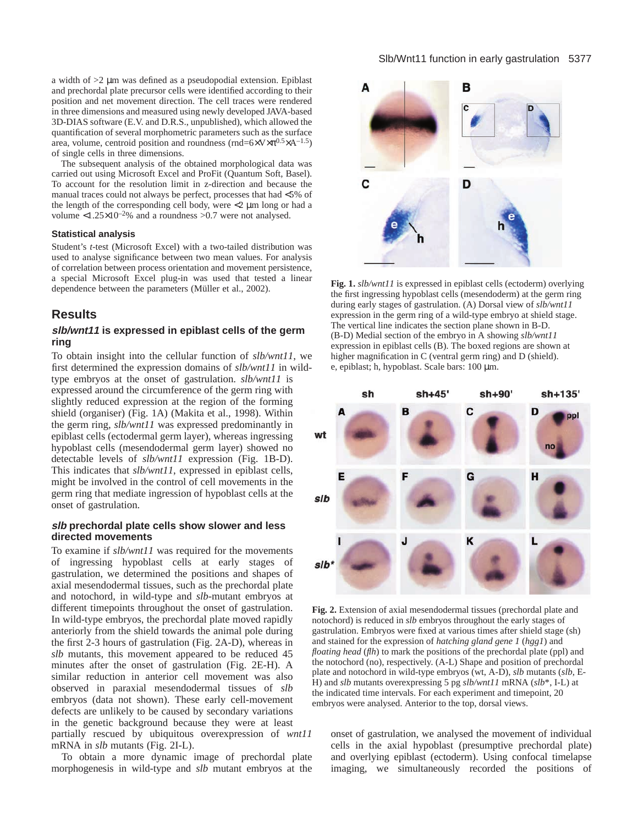a width of >2 µm was defined as a pseudopodial extension. Epiblast and prechordal plate precursor cells were identified according to their position and net movement direction. The cell traces were rendered in three dimensions and measured using newly developed JAVA-based 3D-DIAS software (E.V. and D.R.S., unpublished), which allowed the quantification of several morphometric parameters such as the surface area, volume, centroid position and roundness (rnd= $6 \times V \times \pi^{0.5} \times A^{-1.5}$ ) of single cells in three dimensions.

The subsequent analysis of the obtained morphological data was carried out using Microsoft Excel and ProFit (Quantum Soft, Basel). To account for the resolution limit in z-direction and because the manual traces could not always be perfect, processes that had <5% of the length of the corresponding cell body, were <2 µm long or had a volume  $<1.25\times10^{-2}\%$  and a roundness  $>0.7$  were not analysed.

#### **Statistical analysis**

Student's *t*-test (Microsoft Excel) with a two-tailed distribution was used to analyse significance between two mean values. For analysis of correlation between process orientation and movement persistence, a special Microsoft Excel plug-in was used that tested a linear dependence between the parameters (Müller et al., 2002).

# **Results**

### **slb/wnt11 is expressed in epiblast cells of the germ ring**

To obtain insight into the cellular function of *slb/wnt11*, we first determined the expression domains of *slb/wnt11* in wildtype embryos at the onset of gastrulation. *slb/wnt11* is expressed around the circumference of the germ ring with slightly reduced expression at the region of the forming shield (organiser) (Fig. 1A) (Makita et al., 1998). Within the germ ring, *slb/wnt11* was expressed predominantly in epiblast cells (ectodermal germ layer), whereas ingressing hypoblast cells (mesendodermal germ layer) showed no detectable levels of *slb/wnt11* expression (Fig. 1B-D). This indicates that *slb/wnt11*, expressed in epiblast cells, might be involved in the control of cell movements in the germ ring that mediate ingression of hypoblast cells at the onset of gastrulation.

#### **slb prechordal plate cells show slower and less directed movements**

To examine if *slb/wnt11* was required for the movements of ingressing hypoblast cells at early stages of gastrulation, we determined the positions and shapes of axial mesendodermal tissues, such as the prechordal plate and notochord, in wild-type and *slb*-mutant embryos at different timepoints throughout the onset of gastrulation. In wild-type embryos, the prechordal plate moved rapidly anteriorly from the shield towards the animal pole during the first 2-3 hours of gastrulation (Fig. 2A-D), whereas in *slb* mutants, this movement appeared to be reduced 45 minutes after the onset of gastrulation (Fig. 2E-H). A similar reduction in anterior cell movement was also observed in paraxial mesendodermal tissues of *slb* embryos (data not shown). These early cell-movement defects are unlikely to be caused by secondary variations in the genetic background because they were at least partially rescued by ubiquitous overexpression of *wnt11* mRNA in *slb* mutants (Fig. 2I-L).

To obtain a more dynamic image of prechordal plate morphogenesis in wild-type and *slb* mutant embryos at the



**Fig. 1.** *slb/wnt11* is expressed in epiblast cells (ectoderm) overlying the first ingressing hypoblast cells (mesendoderm) at the germ ring during early stages of gastrulation. (A) Dorsal view of *slb/wnt11* expression in the germ ring of a wild-type embryo at shield stage. The vertical line indicates the section plane shown in B-D. (B-D) Medial section of the embryo in A showing *slb/wnt11* expression in epiblast cells (B). The boxed regions are shown at higher magnification in C (ventral germ ring) and D (shield). e, epiblast; h, hypoblast. Scale bars: 100 µm.



**Fig. 2.** Extension of axial mesendodermal tissues (prechordal plate and notochord) is reduced in *slb* embryos throughout the early stages of gastrulation. Embryos were fixed at various times after shield stage (sh) and stained for the expression of *hatching gland gene 1* (*hgg1*) and *floating head (flh)* to mark the positions of the prechordal plate (ppl) and the notochord (no), respectively. (A-L) Shape and position of prechordal plate and notochord in wild-type embryos (wt, A-D), *slb* mutants (*slb*, E-H) and *slb* mutants overexpressing 5 pg *slb/wnt11* mRNA (*slb*\*, I-L) at the indicated time intervals. For each experiment and timepoint, 20 embryos were analysed. Anterior to the top, dorsal views.

onset of gastrulation, we analysed the movement of individual cells in the axial hypoblast (presumptive prechordal plate) and overlying epiblast (ectoderm). Using confocal timelapse imaging, we simultaneously recorded the positions of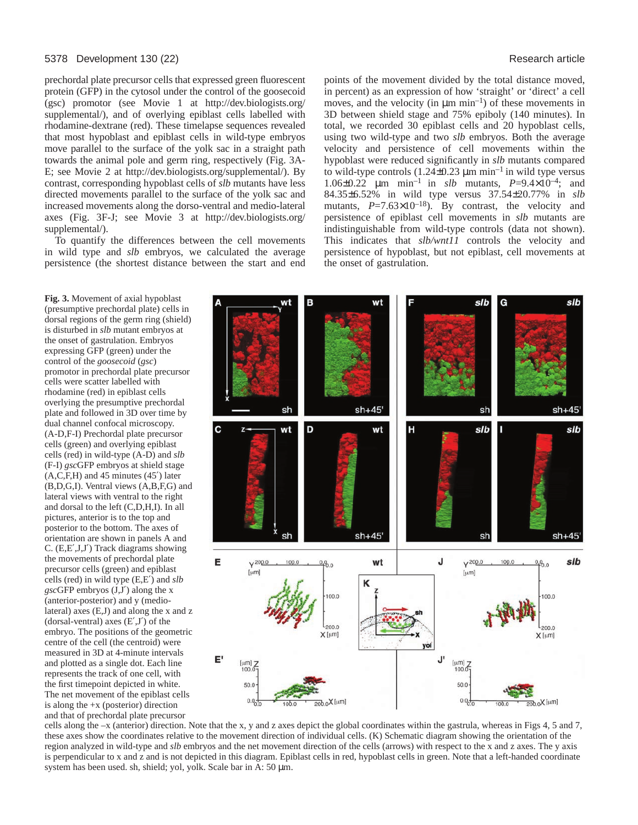#### 5378 Development 130 (22) Research article

**Fig. 3.** Movement of axial hypoblast

is disturbed in *slb* mutant embryos at the onset of gastrulation. Embryos expressing GFP (green) under the control of the *goosecoid* (*gsc*)

cells were scatter labelled with rhodamine (red) in epiblast cells overlying the presumptive prechordal

dual channel confocal microscopy. (A-D,F-I) Prechordal plate precursor cells (green) and overlying epiblast cells (red) in wild-type (A-D) and *slb* (F-I) *gsc*GFP embryos at shield stage (A,C,F,H) and 45 minutes (45′) later

lateral views with ventral to the right and dorsal to the left (C,D,H,I). In all pictures, anterior is to the top and posterior to the bottom. The axes of

the movements of prechordal plate precursor cells (green) and epiblast cells (red) in wild type (E,E′) and *slb gsc*GFP embryos (J,J′) along the x (anterior-posterior) and y (medio-

(dorsal-ventral) axes  $(E', J')$  of the

centre of the cell (the centroid) were measured in 3D at 4-minute intervals and plotted as a single dot. Each line represents the track of one cell, with the first timepoint depicted in white.

is along the  $+x$  (posterior) direction

prechordal plate precursor cells that expressed green fluorescent protein (GFP) in the cytosol under the control of the goosecoid (gsc) promotor (see Movie 1 at http://dev.biologists.org/ supplemental/), and of overlying epiblast cells labelled with rhodamine-dextrane (red). These timelapse sequences revealed that most hypoblast and epiblast cells in wild-type embryos move parallel to the surface of the yolk sac in a straight path towards the animal pole and germ ring, respectively (Fig. 3A-E; see Movie 2 at http://dev.biologists.org/supplemental/). By contrast, corresponding hypoblast cells of *slb* mutants have less directed movements parallel to the surface of the yolk sac and increased movements along the dorso-ventral and medio-lateral axes (Fig. 3F-J; see Movie 3 at http://dev.biologists.org/ supplemental/).

To quantify the differences between the cell movements in wild type and *slb* embryos, we calculated the average persistence (the shortest distance between the start and end

points of the movement divided by the total distance moved, in percent) as an expression of how 'straight' or 'direct' a cell moves, and the velocity (in  $\mu$ m min<sup>-1</sup>) of these movements in 3D between shield stage and 75% epiboly (140 minutes). In total, we recorded 30 epiblast cells and 20 hypoblast cells, using two wild-type and two *slb* embryos. Both the average velocity and persistence of cell movements within the hypoblast were reduced significantly in *slb* mutants compared to wild-type controls  $(1.24\pm0.23 \mu m \text{ min}^{-1} \text{ in wild type versus})$ 1.06±0.22 µm min–1 in *slb* mutants*, P*=9.4×10–4; and 84.35±6.52% in wild type versus 37.54±20.77% in *slb* mutants, *P*=7.63×10<sup>-18</sup>). By contrast, the velocity and persistence of epiblast cell movements in *slb* mutants are indistinguishable from wild-type controls (data not shown). This indicates that *slb/wnt11* controls the velocity and persistence of hypoblast, but not epiblast, cell movements at the onset of gastrulation.



cells along the  $-x$  (anterior) direction. Note that the x, y and z axes depict the global coordinates within the gastrula, whereas in Figs 4, 5 and 7, these axes show the coordinates relative to the movement direction of individual cells. (K) Schematic diagram showing the orientation of the region analyzed in wild-type and *slb* embryos and the net movement direction of the cells (arrows) with respect to the x and z axes. The y axis is perpendicular to x and z and is not depicted in this diagram. Epiblast cells in red, hypoblast cells in green. Note that a left-handed coordinate system has been used. sh, shield; yol, yolk. Scale bar in A: 50 µm.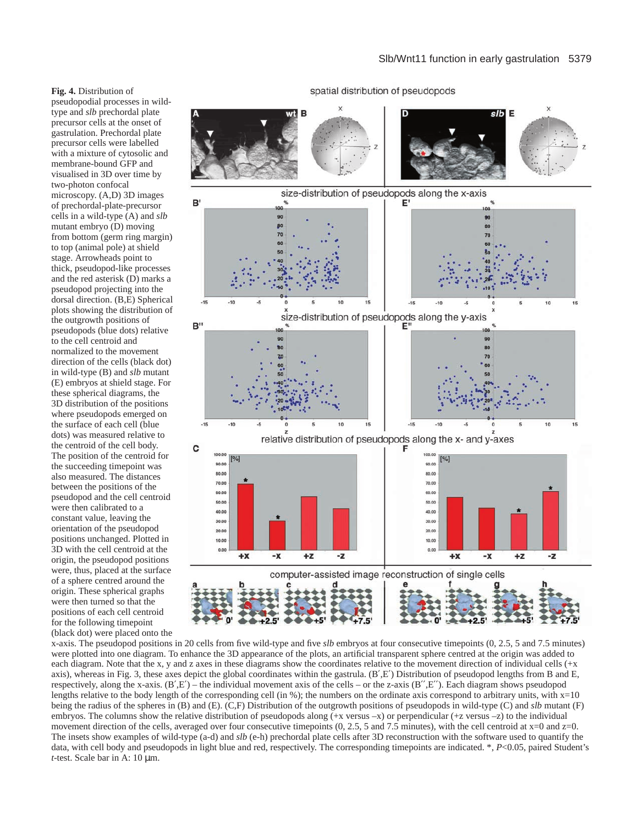**Fig. 4.** Distribution of

pseudopodial processes in wildtype and *slb* prechordal plate precursor cells at the onset of gastrulation. Prechordal plate precursor cells were labelled with a mixture of cytosolic and membrane-bound GFP and visualised in 3D over time by two-photon confocal microscopy. (A,D) 3D images of prechordal-plate-precursor cells in a wild-type (A) and *slb* mutant embryo (D) moving from bottom (germ ring margin) to top (animal pole) at shield stage. Arrowheads point to thick, pseudopod-like processes and the red asterisk (D) marks a pseudopod projecting into the dorsal direction. (B,E) Spherical plots showing the distribution of the outgrowth positions of pseudopods (blue dots) relative to the cell centroid and normalized to the movement direction of the cells (black dot) in wild-type (B) and *slb* mutant (E) embryos at shield stage. For these spherical diagrams, the 3D distribution of the positions where pseudopods emerged on the surface of each cell (blue dots) was measured relative to the centroid of the cell body. The position of the centroid for the succeeding timepoint was also measured. The distances between the positions of the pseudopod and the cell centroid were then calibrated to a constant value, leaving the orientation of the pseudopod positions unchanged. Plotted in 3D with the cell centroid at the origin, the pseudopod positions were, thus, placed at the surface of a sphere centred around the origin. These spherical graphs were then turned so that the positions of each cell centroid for the following timepoint (black dot) were placed onto the



x-axis. The pseudopod positions in 20 cells from five wild-type and five *slb* embryos at four consecutive timepoints (0, 2.5, 5 and 7.5 minutes) were plotted into one diagram. To enhance the 3D appearance of the plots, an artificial transparent sphere centred at the origin was added to each diagram. Note that the x, y and z axes in these diagrams show the coordinates relative to the movement direction of individual cells (+x axis), whereas in Fig. 3, these axes depict the global coordinates within the gastrula. (B′,E′) Distribution of pseudopod lengths from B and E, respectively, along the x-axis.  $(B', E')$  – the individual movement axis of the cells – or the z-axis  $(B'', E'')$ . Each diagram shows pseudopod lengths relative to the body length of the corresponding cell (in %); the numbers on the ordinate axis correspond to arbitrary units, with  $x=10$ being the radius of the spheres in (B) and (E). (C,F) Distribution of the outgrowth positions of pseudopods in wild-type (C) and *slb* mutant (F) embryos. The columns show the relative distribution of pseudopods along (+x versus –x) or perpendicular (+z versus –z) to the individual movement direction of the cells, averaged over four consecutive timepoints  $(0, 2.5, 5 \text{ and } 7.5 \text{ minutes})$ , with the cell centroid at  $x=0$  and  $z=0$ . The insets show examples of wild-type (a-d) and *slb* (e-h) prechordal plate cells after 3D reconstruction with the software used to quantify the data, with cell body and pseudopods in light blue and red, respectively. The corresponding timepoints are indicated. \*, *P*<0.05, paired Student's *t*-test. Scale bar in A: 10 µm.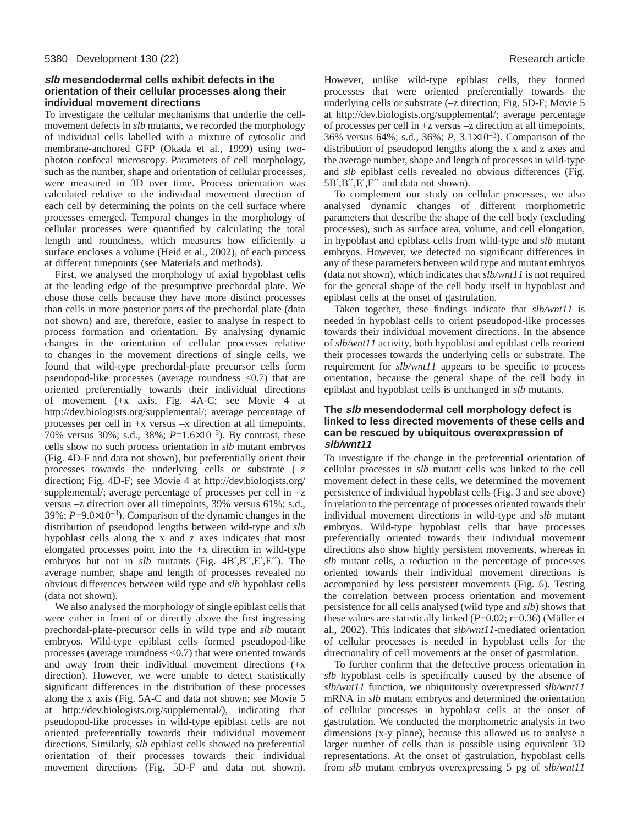#### **slb mesendodermal cells exhibit defects in the orientation of their cellular processes along their individual movement directions**

To investigate the cellular mechanisms that underlie the cellmovement defects in *slb* mutants, we recorded the morphology of individual cells labelled with a mixture of cytosolic and membrane-anchored GFP (Okada et al., 1999) using twophoton confocal microscopy. Parameters of cell morphology, such as the number, shape and orientation of cellular processes, were measured in 3D over time. Process orientation was calculated relative to the individual movement direction of each cell by determining the points on the cell surface where processes emerged. Temporal changes in the morphology of cellular processes were quantified by calculating the total length and roundness, which measures how efficiently a surface encloses a volume (Heid et al., 2002), of each process at different timepoints (see Materials and methods).

First, we analysed the morphology of axial hypoblast cells at the leading edge of the presumptive prechordal plate. We chose those cells because they have more distinct processes than cells in more posterior parts of the prechordal plate (data not shown) and are, therefore, easier to analyse in respect to process formation and orientation. By analysing dynamic changes in the orientation of cellular processes relative to changes in the movement directions of single cells, we found that wild-type prechordal-plate precursor cells form pseudopod-like processes (average roundness <0.7) that are oriented preferentially towards their individual directions of movement (+x axis, Fig. 4A-C; see Movie 4 at http://dev.biologists.org/supplemental/; average percentage of processes per cell in +x versus –x direction at all timepoints, 70% versus 30%; s.d., 38%; *P*=1.6×10–5). By contrast, these cells show no such process orientation in *slb* mutant embryos (Fig. 4D-F and data not shown), but preferentially orient their processes towards the underlying cells or substrate (–z direction; Fig. 4D-F; see Movie 4 at http://dev.biologists.org/ supplemental/; average percentage of processes per cell in  $+z$ versus –z direction over all timepoints, 39% versus 61%; s.d.,  $39\%$ ;  $P=9.0\times10^{-3}$ ). Comparison of the dynamic changes in the distribution of pseudopod lengths between wild-type and *slb* hypoblast cells along the x and z axes indicates that most elongated processes point into the  $+x$  direction in wild-type embryos but not in *slb* mutants (Fig. 4B′,B′′,E′,E′′). The average number, shape and length of processes revealed no obvious differences between wild type and *slb* hypoblast cells (data not shown).

We also analysed the morphology of single epiblast cells that were either in front of or directly above the first ingressing prechordal-plate-precursor cells in wild type and *slb* mutant embryos. Wild-type epiblast cells formed pseudopod-like processes (average roundness <0.7) that were oriented towards and away from their individual movement directions (+x direction). However, we were unable to detect statistically significant differences in the distribution of these processes along the x axis (Fig. 5A-C and data not shown; see Movie 5 at http://dev.biologists.org/supplemental/), indicating that pseudopod-like processes in wild-type epiblast cells are not oriented preferentially towards their individual movement directions. Similarly, *slb* epiblast cells showed no preferential orientation of their processes towards their individual movement directions (Fig. 5D-F and data not shown).

However, unlike wild-type epiblast cells, they formed processes that were oriented preferentially towards the underlying cells or substrate (–z direction; Fig. 5D-F; Movie 5 at http://dev.biologists.org/supplemental/; average percentage of processes per cell in +z versus –z direction at all timepoints, 36% versus 64%; s.d., 36%; *P*, 3.1×10–3). Comparison of the distribution of pseudopod lengths along the x and z axes and the average number, shape and length of processes in wild-type and *slb* epiblast cells revealed no obvious differences (Fig. 5B′,B′′,E′,E′′ and data not shown).

To complement our study on cellular processes, we also analysed dynamic changes of different morphometric parameters that describe the shape of the cell body (excluding processes), such as surface area, volume, and cell elongation, in hypoblast and epiblast cells from wild-type and *slb* mutant embryos. However, we detected no significant differences in any of these parameters between wild type and mutant embryos (data not shown), which indicates that *slb/wnt11* is not required for the general shape of the cell body itself in hypoblast and epiblast cells at the onset of gastrulation.

Taken together, these findings indicate that *slb/wnt11* is needed in hypoblast cells to orient pseudopod-like processes towards their individual movement directions. In the absence of *slb/wnt11* activity, both hypoblast and epiblast cells reorient their processes towards the underlying cells or substrate. The requirement for *slb/wnt11* appears to be specific to process orientation, because the general shape of the cell body in epiblast and hypoblast cells is unchanged in *slb* mutants.

### **The slb mesendodermal cell morphology defect is linked to less directed movements of these cells and can be rescued by ubiquitous overexpression of slb/wnt11**

To investigate if the change in the preferential orientation of cellular processes in *slb* mutant cells was linked to the cell movement defect in these cells, we determined the movement persistence of individual hypoblast cells (Fig. 3 and see above) in relation to the percentage of processes oriented towards their individual movement directions in wild-type and *slb* mutant embryos. Wild-type hypoblast cells that have processes preferentially oriented towards their individual movement directions also show highly persistent movements, whereas in *slb* mutant cells, a reduction in the percentage of processes oriented towards their individual movement directions is accompanied by less persistent movements (Fig. 6). Testing the correlation between process orientation and movement persistence for all cells analysed (wild type and *slb*) shows that these values are statistically linked (*P*=0.02; r=0.36) (Müller et al., 2002). This indicates that *slb/wnt11*-mediated orientation of cellular processes is needed in hypoblast cells for the directionality of cell movements at the onset of gastrulation.

To further confirm that the defective process orientation in *slb* hypoblast cells is specifically caused by the absence of *slb/wnt11* function, we ubiquitously overexpressed *slb/wnt11* mRNA in *slb* mutant embryos and determined the orientation of cellular processes in hypoblast cells at the onset of gastrulation. We conducted the morphometric analysis in two dimensions (x-y plane), because this allowed us to analyse a larger number of cells than is possible using equivalent 3D representations. At the onset of gastrulation, hypoblast cells from *slb* mutant embryos overexpressing 5 pg of *slb/wnt11*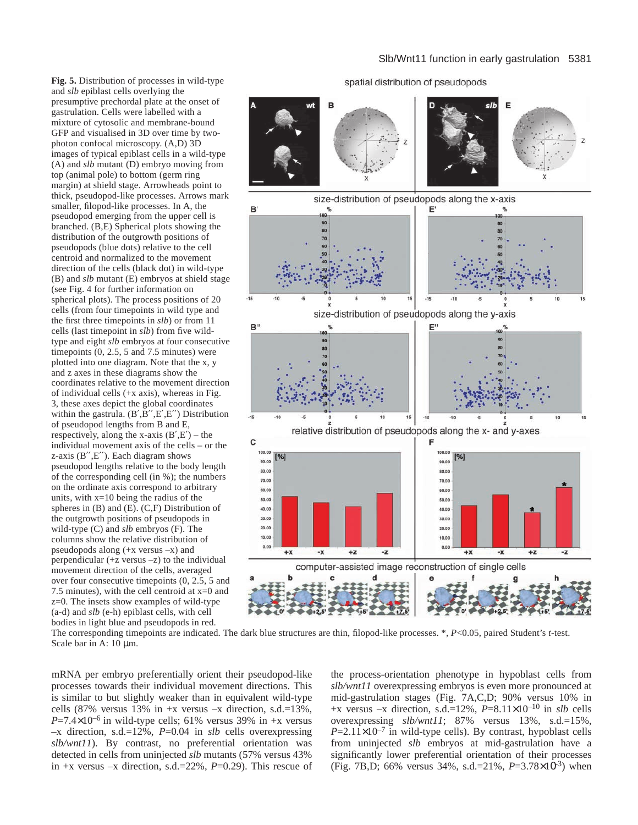**Fig. 5.** Distribution of processes in wild-type and *slb* epiblast cells overlying the presumptive prechordal plate at the onset of gastrulation. Cells were labelled with a mixture of cytosolic and membrane-bound GFP and visualised in 3D over time by twophoton confocal microscopy. (A,D) 3D images of typical epiblast cells in a wild-type (A) and *slb* mutant (D) embryo moving from top (animal pole) to bottom (germ ring margin) at shield stage. Arrowheads point to thick, pseudopod-like processes. Arrows mark smaller, filopod-like processes. In A, the pseudopod emerging from the upper cell is branched. (B,E) Spherical plots showing the distribution of the outgrowth positions of pseudopods (blue dots) relative to the cell centroid and normalized to the movement direction of the cells (black dot) in wild-type (B) and *slb* mutant (E) embryos at shield stage (see Fig. 4 for further information on spherical plots). The process positions of 20 cells (from four timepoints in wild type and the first three timepoints in *slb*) or from 11 cells (last timepoint in *slb*) from five wildtype and eight *slb* embryos at four consecutive timepoints (0, 2.5, 5 and 7.5 minutes) were plotted into one diagram. Note that the x, y and z axes in these diagrams show the coordinates relative to the movement direction of individual cells (+x axis), whereas in Fig. 3, these axes depict the global coordinates within the gastrula.  $(B', B'', E', E'')$  Distribution of pseudopod lengths from B and E, respectively, along the x-axis  $(B', E')$  – the individual movement axis of the cells – or the z-axis  $(B'', E'')$ . Each diagram shows pseudopod lengths relative to the body length of the corresponding cell (in %); the numbers on the ordinate axis correspond to arbitrary units, with x=10 being the radius of the spheres in (B) and (E). (C,F) Distribution of the outgrowth positions of pseudopods in wild-type (C) and *slb* embryos (F). The columns show the relative distribution of pseudopods along (+x versus –x) and perpendicular (+z versus –z) to the individual movement direction of the cells, averaged over four consecutive timepoints (0, 2.5, 5 and 7.5 minutes), with the cell centroid at  $x=0$  and z=0. The insets show examples of wild-type (a-d) and *slb* (e-h) epiblast cells, with cell bodies in light blue and pseudopods in red.

#### spatial distribution of pseudopods B E wi size-distribution of pseudopods along the x-axis B' 90 90 80 80 70  $-15$  $-15$  $-10$ size-distribution of pseudopods along the y-axis B" 90  $80$ 70  $-15$  $-15$ relative distribution of pseudopods along the x- and y-axes C 100.00 100.00  $[%]$  $%$ 90.00 90.00 80.00 80,00 70.00 70.00 60.00 60.00 50.00 50.00 40.00 40.00 30.00 30.00 20.00 20.00 10.00 10.00  $0.00$ 0.00  $+**X**$ -X  $+z$ -z  $+**X**$  $+z$ -z  $-x$ computer-assisted image reconstruction of single cells d  $+7.5$

The corresponding timepoints are indicated. The dark blue structures are thin, filopod-like processes. \*, *P*<0.05, paired Student's *t*-test. Scale bar in A: 10  $\mu$ m.

mRNA per embryo preferentially orient their pseudopod-like processes towards their individual movement directions. This is similar to but slightly weaker than in equivalent wild-type cells  $(87\%$  versus  $13\%$  in  $+x$  versus  $-x$  direction, s.d.=13%,  $P=7.4\times10^{-6}$  in wild-type cells; 61% versus 39% in +x versus –x direction, s.d.=12%, *P*=0.04 in *slb* cells overexpressing *slb/wnt11*). By contrast, no preferential orientation was detected in cells from uninjected *slb* mutants (57% versus 43% in +x versus –x direction, s.d.=22%, *P*=0.29). This rescue of

the process-orientation phenotype in hypoblast cells from *slb/wnt11* overexpressing embryos is even more pronounced at mid-gastrulation stages (Fig. 7A,C,D; 90% versus 10% in +x versus –x direction, s.d.=12%,  $P=8.11\times10^{-10}$  in *slb* cells overexpressing *slb/wnt11*; 87% versus 13%, s.d.=15%,  $P=2.11\times10^{-7}$  in wild-type cells). By contrast, hypoblast cells from uninjected *slb* embryos at mid-gastrulation have a significantly lower preferential orientation of their processes (Fig. 7B,D; 66% versus 34%, s.d.=21%, *P*=3.78×10-3) when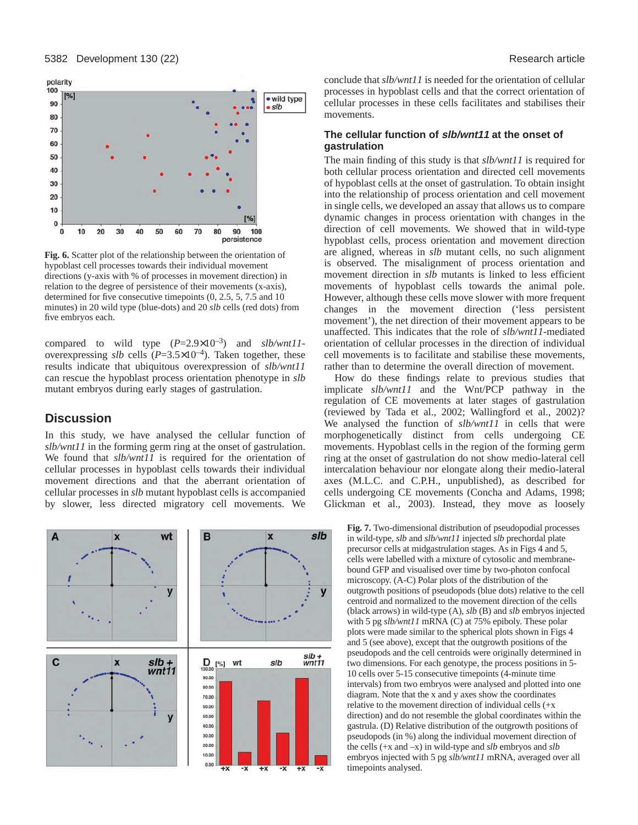

**Fig. 6.** Scatter plot of the relationship between the orientation of hypoblast cell processes towards their individual movement directions (y-axis with % of processes in movement direction) in relation to the degree of persistence of their movements (x-axis), determined for five consecutive timepoints (0, 2.5, 5, 7.5 and 10 minutes) in 20 wild type (blue-dots) and 20 *slb* cells (red dots) from five embryos each.

compared to wild type  $(P=2.9\times10^{-3})$  and *slb/wnt11*overexpressing *slb* cells  $(P=3.5\times10^{-4})$ . Taken together, these results indicate that ubiquitous overexpression of *slb/wnt11* can rescue the hypoblast process orientation phenotype in *slb* mutant embryos during early stages of gastrulation.

# **Discussion**

In this study, we have analysed the cellular function of *slb/wnt11* in the forming germ ring at the onset of gastrulation. We found that *slb/wnt11* is required for the orientation of cellular processes in hypoblast cells towards their individual movement directions and that the aberrant orientation of cellular processes in *slb* mutant hypoblast cells is accompanied by slower, less directed migratory cell movements. We



conclude that *slb/wnt11* is needed for the orientation of cellular processes in hypoblast cells and that the correct orientation of cellular processes in these cells facilitates and stabilises their movements.

#### **The cellular function of slb/wnt11 at the onset of gastrulation**

The main finding of this study is that *slb/wnt11* is required for both cellular process orientation and directed cell movements of hypoblast cells at the onset of gastrulation. To obtain insight into the relationship of process orientation and cell movement in single cells, we developed an assay that allows us to compare dynamic changes in process orientation with changes in the direction of cell movements. We showed that in wild-type hypoblast cells, process orientation and movement direction are aligned, whereas in *slb* mutant cells, no such alignment is observed. The misalignment of process orientation and movement direction in *slb* mutants is linked to less efficient movements of hypoblast cells towards the animal pole. However, although these cells move slower with more frequent changes in the movement direction ('less persistent movement'), the net direction of their movement appears to be unaffected. This indicates that the role of *slb/wnt11*-mediated orientation of cellular processes in the direction of individual cell movements is to facilitate and stabilise these movements, rather than to determine the overall direction of movement.

How do these findings relate to previous studies that implicate *slb/wnt11* and the Wnt/PCP pathway in the regulation of CE movements at later stages of gastrulation (reviewed by Tada et al., 2002; Wallingford et al., 2002)? We analysed the function of *slb/wnt11* in cells that were morphogenetically distinct from cells undergoing CE movements. Hypoblast cells in the region of the forming germ ring at the onset of gastrulation do not show medio-lateral cell intercalation behaviour nor elongate along their medio-lateral axes (M.L.C. and C.P.H., unpublished), as described for cells undergoing CE movements (Concha and Adams, 1998; Glickman et al., 2003). Instead, they move as loosely

**Fig. 7.** Two-dimensional distribution of pseudopodial processes in wild-type, *slb* and *slb/wnt11* injected *slb* prechordal plate precursor cells at midgastrulation stages. As in Figs 4 and 5, cells were labelled with a mixture of cytosolic and membranebound GFP and visualised over time by two-photon confocal microscopy. (A-C) Polar plots of the distribution of the outgrowth positions of pseudopods (blue dots) relative to the cell centroid and normalized to the movement direction of the cells (black arrows) in wild-type (A), *slb* (B) and *slb* embryos injected with 5 pg *slb/wnt11* mRNA (C) at 75% epiboly. These polar plots were made similar to the spherical plots shown in Figs 4 and 5 (see above), except that the outgrowth positions of the pseudopods and the cell centroids were originally determined in two dimensions. For each genotype, the process positions in 5- 10 cells over 5-15 consecutive timepoints (4-minute time intervals) from two embryos were analysed and plotted into one diagram. Note that the x and y axes show the coordinates relative to the movement direction of individual cells (+x direction) and do not resemble the global coordinates within the gastrula. (D) Relative distribution of the outgrowth positions of pseudopods (in %) along the individual movement direction of the cells (+x and –x) in wild-type and *slb* embryos and *slb* embryos injected with 5 pg *slb/wnt11* mRNA, averaged over all timepoints analysed.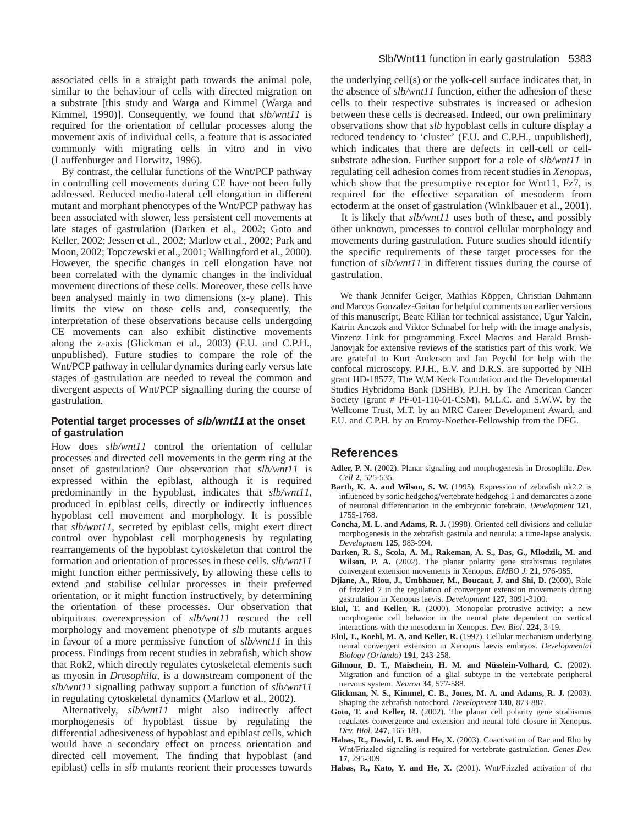associated cells in a straight path towards the animal pole, similar to the behaviour of cells with directed migration on a substrate [this study and Warga and Kimmel (Warga and Kimmel, 1990)]. Consequently, we found that *slb/wnt11* is required for the orientation of cellular processes along the movement axis of individual cells, a feature that is associated commonly with migrating cells in vitro and in vivo (Lauffenburger and Horwitz, 1996).

By contrast, the cellular functions of the Wnt/PCP pathway in controlling cell movements during CE have not been fully addressed. Reduced medio-lateral cell elongation in different mutant and morphant phenotypes of the Wnt/PCP pathway has been associated with slower, less persistent cell movements at late stages of gastrulation (Darken et al., 2002; Goto and Keller, 2002; Jessen et al., 2002; Marlow et al., 2002; Park and Moon, 2002; Topczewski et al., 2001; Wallingford et al., 2000). However, the specific changes in cell elongation have not been correlated with the dynamic changes in the individual movement directions of these cells. Moreover, these cells have been analysed mainly in two dimensions (x-y plane). This limits the view on those cells and, consequently, the interpretation of these observations because cells undergoing CE movements can also exhibit distinctive movements along the z-axis (Glickman et al., 2003) (F.U. and C.P.H., unpublished). Future studies to compare the role of the Wnt/PCP pathway in cellular dynamics during early versus late stages of gastrulation are needed to reveal the common and divergent aspects of Wnt/PCP signalling during the course of gastrulation.

### **Potential target processes of slb/wnt11 at the onset of gastrulation**

How does *slb/wnt11* control the orientation of cellular processes and directed cell movements in the germ ring at the onset of gastrulation? Our observation that *slb/wnt11* is expressed within the epiblast, although it is required predominantly in the hypoblast, indicates that *slb/wnt11*, produced in epiblast cells, directly or indirectly influences hypoblast cell movement and morphology. It is possible that *slb/wnt11*, secreted by epiblast cells, might exert direct control over hypoblast cell morphogenesis by regulating rearrangements of the hypoblast cytoskeleton that control the formation and orientation of processes in these cells. *slb/wnt11* might function either permissively, by allowing these cells to extend and stabilise cellular processes in their preferred orientation, or it might function instructively, by determining the orientation of these processes. Our observation that ubiquitous overexpression of *slb/wnt11* rescued the cell morphology and movement phenotype of *slb* mutants argues in favour of a more permissive function of *slb/wnt11* in this process. Findings from recent studies in zebrafish, which show that Rok2, which directly regulates cytoskeletal elements such as myosin in *Drosophila*, is a downstream component of the *slb/wnt11* signalling pathway support a function of *slb/wnt11* in regulating cytoskeletal dynamics (Marlow et al., 2002).

Alternatively, *slb/wnt11* might also indirectly affect morphogenesis of hypoblast tissue by regulating the differential adhesiveness of hypoblast and epiblast cells, which would have a secondary effect on process orientation and directed cell movement. The finding that hypoblast (and epiblast) cells in *slb* mutants reorient their processes towards

the underlying cell(s) or the yolk-cell surface indicates that, in the absence of *slb/wnt11* function, either the adhesion of these cells to their respective substrates is increased or adhesion between these cells is decreased. Indeed, our own preliminary observations show that *slb* hypoblast cells in culture display a reduced tendency to 'cluster' (F.U. and C.P.H., unpublished), which indicates that there are defects in cell-cell or cellsubstrate adhesion. Further support for a role of *slb/wnt11* in regulating cell adhesion comes from recent studies in *Xenopus,* which show that the presumptive receptor for Wnt11, Fz7, is required for the effective separation of mesoderm from ectoderm at the onset of gastrulation (Winklbauer et al., 2001).

It is likely that *slb/wnt11* uses both of these, and possibly other unknown, processes to control cellular morphology and movements during gastrulation. Future studies should identify the specific requirements of these target processes for the function of *slb/wnt11* in different tissues during the course of gastrulation.

We thank Jennifer Geiger, Mathias Köppen, Christian Dahmann and Marcos Gonzalez-Gaitan for helpful comments on earlier versions of this manuscript, Beate Kilian for technical assistance, Ugur Yalcin, Katrin Anczok and Viktor Schnabel for help with the image analysis, Vinzenz Link for programming Excel Macros and Harald Brush-Janovjak for extensive reviews of the statistics part of this work. We are grateful to Kurt Anderson and Jan Peychl for help with the confocal microscopy. P.J.H., E.V. and D.R.S. are supported by NIH grant HD-18577, The W.M Keck Foundation and the Developmental Studies Hybridoma Bank (DSHB), P.J.H. by The American Cancer Society (grant # PF-01-110-01-CSM), M.L.C. and S.W.W. by the Wellcome Trust, M.T. by an MRC Career Development Award, and F.U. and C.P.H. by an Emmy-Noether-Fellowship from the DFG.

# **References**

- **Adler, P. N.** (2002). Planar signaling and morphogenesis in Drosophila. *Dev. Cell* **2**, 525-535.
- **Barth, K. A. and Wilson, S. W.** (1995). Expression of zebrafish nk2.2 is influenced by sonic hedgehog/vertebrate hedgehog-1 and demarcates a zone of neuronal differentiation in the embryonic forebrain. *Development* **121**, 1755-1768.
- **Concha, M. L. and Adams, R. J.** (1998). Oriented cell divisions and cellular morphogenesis in the zebrafish gastrula and neurula: a time-lapse analysis. *Development* **125**, 983-994.
- **Darken, R. S., Scola, A. M., Rakeman, A. S., Das, G., Mlodzik, M. and Wilson, P. A.** (2002). The planar polarity gene strabismus regulates convergent extension movements in Xenopus. *EMBO J.* **21**, 976-985.
- **Djiane, A., Riou, J., Umbhauer, M., Boucaut, J. and Shi, D.** (2000). Role of frizzled 7 in the regulation of convergent extension movements during gastrulation in Xenopus laevis. *Development* **127**, 3091-3100.
- **Elul, T. and Keller, R.** (2000). Monopolar protrusive activity: a new morphogenic cell behavior in the neural plate dependent on vertical interactions with the mesoderm in Xenopus. *Dev. Biol.* **224**, 3-19.
- **Elul, T., Koehl, M. A. and Keller, R.** (1997). Cellular mechanism underlying neural convergent extension in Xenopus laevis embryos. *Developmental Biology (Orlando)* **191**, 243-258.
- **Gilmour, D. T., Maischein, H. M. and Nüsslein-Volhard, C.** (2002). Migration and function of a glial subtype in the vertebrate peripheral nervous system. *Neuron* **34**, 577-588.
- **Glickman, N. S., Kimmel, C. B., Jones, M. A. and Adams, R. J.** (2003). Shaping the zebrafish notochord. *Development* **130**, 873-887.
- Goto, T. and Keller, R. (2002). The planar cell polarity gene strabismus regulates convergence and extension and neural fold closure in Xenopus. *Dev. Biol.* **247**, 165-181.
- **Habas, R., Dawid, I. B. and He, X.** (2003). Coactivation of Rac and Rho by Wnt/Frizzled signaling is required for vertebrate gastrulation. *Genes Dev.* **17**, 295-309.
- **Habas, R., Kato, Y. and He, X.** (2001). Wnt/Frizzled activation of rho